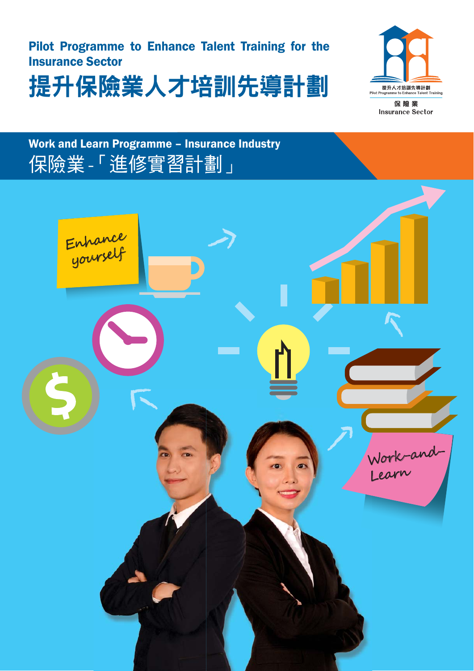# Pilot Programme to Enhance Talent Training for the Insurance Sector





保險業 **Insurance Sector** 

# Work and Learn Programme – Insurance Industry 保險業 -「進修實習計劃」

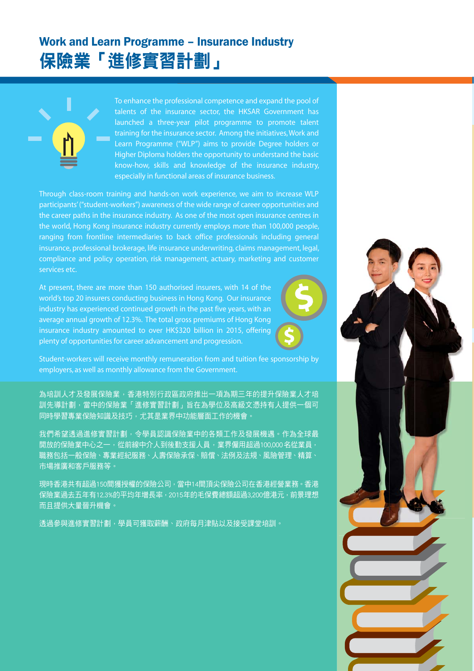## Work and Learn Programme – Insurance Industry 保險業「進修實習計劃」



To enhance the professional competence and expand the pool of talents of the insurance sector, the HKSAR Government has launched a three-year pilot programme to promote talent training for the insurance sector. Among the initiatives, Work and Learn Programme ("WLP") aims to provide Degree holders or Higher Diploma holders the opportunity to understand the basic know-how, skills and knowledge of the insurance industry, especially in functional areas of insurance business.

Through class-room training and hands-on work experience, we aim to increase WLP participants' ("student-workers") awareness of the wide range of career opportunities and the career paths in the insurance industry. As one of the most open insurance centres in the world, Hong Kong insurance industry currently employs more than 100,000 people, ranging from frontline intermediaries to back office professionals including general insurance, professional brokerage, life insurance underwriting, claims management, legal, compliance and policy operation, risk management, actuary, marketing and customer services etc.

At present, there are more than 150 authorised insurers, with 14 of the world's top 20 insurers conducting business in Hong Kong. Our insurance industry has experienced continued growth in the past five years, with an average annual growth of 12.3%. The total gross premiums of Hong Kong insurance industry amounted to over HK\$320 billion in 2015, offering plenty of opportunities for career advancement and progression.



Student-workers will receive monthly remuneration from and tuition fee sponsorship by employers, as well as monthly allowance from the Government.

為培訓人才及發展保險業,香港特別行政區政府推出一項為期三年的提升保險業人才培 訓先導計劃,當中的保險業「進修實習計劃」旨在為學位及高級文憑持有人提供一個可 同時學習專業保險知識及技巧,尤其是業界中功能層面工作的機會。

我們希望透過進修實習計劃,令學員認識保險業中的各類工作及發展機遇。作為全球最 開放的保險業中心之一,從前線中介人到後勤支援人員,業界僱用超過100,000名從業員, 職務包括一般保險、專業經紀服務、人壽保險承保、賠償、法例及法規、風險管理、精算、 市場推廣和客戶服務等。

現時香港共有超過150間獲授權的保險公司,當中14間頂尖保險公司在香港經營業務。香港 保險業過去五年有12.3%的平均年增長率,2015年的毛保費總額超過3,200億港元,前景理想 而且提供大量晉升機會。

透過參與進修實習計劃,學員可獲取薪酬、政府每月津貼以及接受課堂培訓。

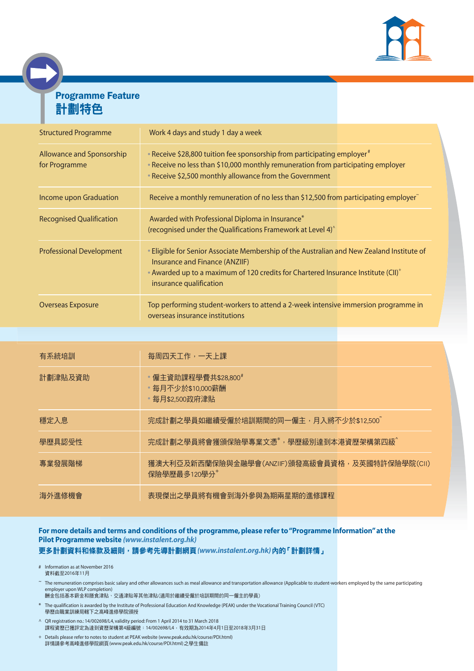

### Programme Feature 計劃特色

| <b>Structured Programme</b>                | Work 4 days and study 1 day a week                                                                                                                                                                                                                      |  |
|--------------------------------------------|---------------------------------------------------------------------------------------------------------------------------------------------------------------------------------------------------------------------------------------------------------|--|
| Allowance and Sponsorship<br>for Programme | • Receive \$28,800 tuition fee sponsorship from participating employer <sup>#</sup><br>• Receive no less than \$10,000 monthly remuneration from participating employer<br>• Receive \$2,500 monthly allowance from the Government                      |  |
| Income upon Graduation                     | Receive a monthly remuneration of no less than \$12,500 from participating employer                                                                                                                                                                     |  |
| <b>Recognised Qualification</b>            | Awarded with Professional Diploma in Insurance*<br>(recognised under the Qualifications Framework at Level 4) $\hat{}$                                                                                                                                  |  |
| <b>Professional Development</b>            | • Eligible for Senior Associate Membership of the Australian and New Zealand Institute of<br>Insurance and Finance (ANZIIF)<br>• Awarded up to a maximum of 120 credits for Chartered Insurance Institute (CII) <sup>+</sup><br>insurance qualification |  |
| <b>Overseas Exposure</b>                   | Top performing student-workers to attend a 2-week intensive immersion programme in<br>overseas insurance institutions                                                                                                                                   |  |

| 有系統培訓   | 每周四天工作,一天上課                                                     |  |
|---------|-----------------------------------------------------------------|--|
| 計劃津貼及資助 | • 僱主資助課程學費共\$28,800#<br>• 每月不少於\$10,000薪酬<br>◦每月\$2,500政府津貼     |  |
| 穩定入息    | 完成計劃之學員如繼續受僱於培訓期間的同一僱主,月入將不少於\$12,500~                          |  |
| 學歷具認受性  | 完成計劃之學員將會獲頒保險學專業文憑*,學歷級別達到本港資歷架構第四級^                            |  |
| 專業發展階梯  | 獲澳大利亞及新西蘭保險與金融學會(ANZIIF)頒發高級會員資格,及英國特許保險學院(CII)<br>保險學歷最多120學分+ |  |
| 海外淮修機會  | 表現傑出之學員將有機會到海外參與為期兩星期的進修課程                                      |  |

#### **For more details and terms and conditions of the programme, please refer to "Programme Information" at the Pilot Programme website** *(www.instalent.org.hk)* 更多計劃資料和條款及細則,請參考先導計劃網頁*(www.instalent.org.hk)*內的「計劃詳情」

# Information as at November 2016 資料截至2016年11月

- ~ The remuneration comprises basic salary and other allowances such as meal allowance and transportation allowance (Applicable to student-workers employed by the same participating employer upon WLP completion)
- 酬金包括基本薪金和膳食津貼、交通津貼等其他津貼(適用於繼續受僱於培訓期間的同一僱主的學員)
- \* The qualification is awarded by the Institute of Professional Education And Knowledge (PEAK) under the Vocational Training Council (VTC) 學歷由職業訓練局轄下之高峰進修學院頒授
- ^ QR registration no.: 14/002698/L4, validity period: From 1 April 2014 to 31 March 2018 課程資歷已獲評定為達到資歷架構第4級編號:14/002698/L4,有效期為2014年4月1日至2018年3月31日
- + Details please refer to notes to student at PEAK website (www.peak.edu.hk/course/PDI.html) 詳情請參考高峰進修學院網頁(www.peak.edu.hk/course/PDI.html)之學生備註